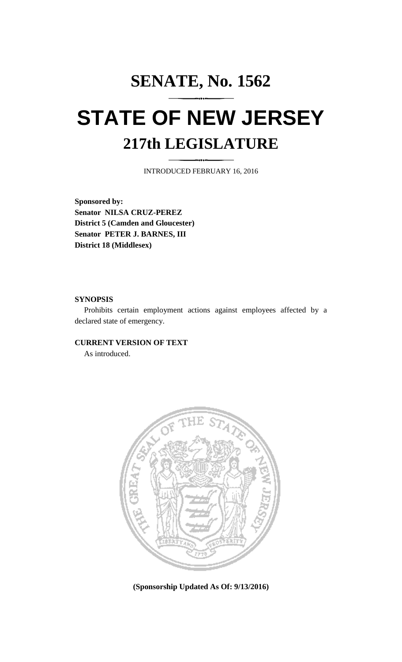## **SENATE, No. 1562 STATE OF NEW JERSEY 217th LEGISLATURE**

INTRODUCED FEBRUARY 16, 2016

**Sponsored by: Senator NILSA CRUZ-PEREZ District 5 (Camden and Gloucester) Senator PETER J. BARNES, III District 18 (Middlesex)**

## **SYNOPSIS**

Prohibits certain employment actions against employees affected by a declared state of emergency.

## **CURRENT VERSION OF TEXT**

As introduced.



**(Sponsorship Updated As Of: 9/13/2016)**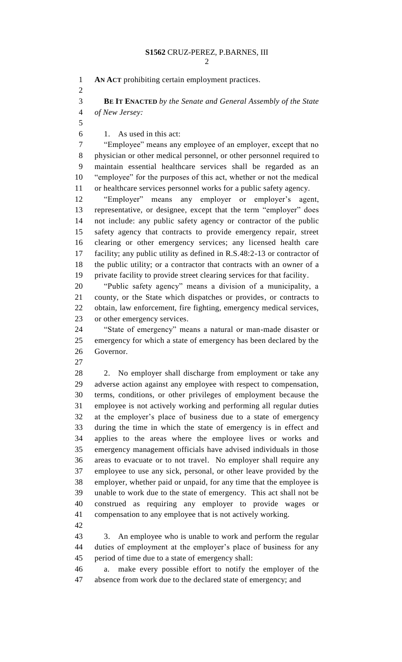**AN ACT** prohibiting certain employment practices.

 **BE IT ENACTED** *by the Senate and General Assembly of the State of New Jersey:*

1. As used in this act:

 "Employee" means any employee of an employer, except that no physician or other medical personnel, or other personnel required to maintain essential healthcare services shall be regarded as an "employee" for the purposes of this act, whether or not the medical or healthcare services personnel works for a public safety agency.

 "Employer" means any employer or employer's agent, representative, or designee, except that the term "employer" does not include: any public safety agency or contractor of the public safety agency that contracts to provide emergency repair, street clearing or other emergency services; any licensed health care facility; any public utility as defined in R.S.48:2-13 or contractor of the public utility; or a contractor that contracts with an owner of a private facility to provide street clearing services for that facility.

 "Public safety agency" means a division of a municipality, a county, or the State which dispatches or provides, or contracts to obtain, law enforcement, fire fighting, emergency medical services, or other emergency services.

 "State of emergency" means a natural or man-made disaster or emergency for which a state of emergency has been declared by the Governor.

28 2. No employer shall discharge from employment or take any adverse action against any employee with respect to compensation, terms, conditions, or other privileges of employment because the employee is not actively working and performing all regular duties at the employer's place of business due to a state of emergency during the time in which the state of emergency is in effect and applies to the areas where the employee lives or works and emergency management officials have advised individuals in those areas to evacuate or to not travel. No employer shall require any employee to use any sick, personal, or other leave provided by the employer, whether paid or unpaid, for any time that the employee is unable to work due to the state of emergency. This act shall not be construed as requiring any employer to provide wages or compensation to any employee that is not actively working.

 3. An employee who is unable to work and perform the regular duties of employment at the employer's place of business for any period of time due to a state of emergency shall:

 a. make every possible effort to notify the employer of the absence from work due to the declared state of emergency; and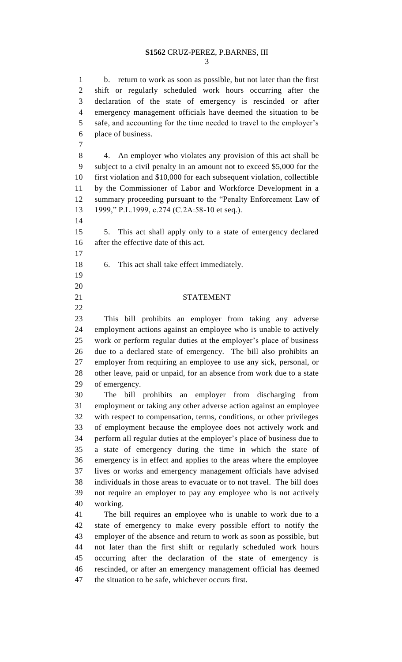## **S1562** CRUZ-PEREZ, P.BARNES, III

 b. return to work as soon as possible, but not later than the first shift or regularly scheduled work hours occurring after the declaration of the state of emergency is rescinded or after emergency management officials have deemed the situation to be safe, and accounting for the time needed to travel to the employer's place of business.

 4. An employer who violates any provision of this act shall be subject to a civil penalty in an amount not to exceed \$5,000 for the first violation and \$10,000 for each subsequent violation, collectible by the Commissioner of Labor and Workforce Development in a summary proceeding pursuant to the "Penalty Enforcement Law of 1999," P.L.1999, c.274 (C.2A:58-10 et seq.).

 5. This act shall apply only to a state of emergency declared after the effective date of this act.

- 6. This act shall take effect immediately.
- 
- 

21 STATEMENT

 This bill prohibits an employer from taking any adverse employment actions against an employee who is unable to actively work or perform regular duties at the employer's place of business due to a declared state of emergency. The bill also prohibits an employer from requiring an employee to use any sick, personal, or other leave, paid or unpaid, for an absence from work due to a state of emergency.

 The bill prohibits an employer from discharging from employment or taking any other adverse action against an employee with respect to compensation, terms, conditions, or other privileges of employment because the employee does not actively work and perform all regular duties at the employer's place of business due to a state of emergency during the time in which the state of emergency is in effect and applies to the areas where the employee lives or works and emergency management officials have advised individuals in those areas to evacuate or to not travel. The bill does not require an employer to pay any employee who is not actively working.

 The bill requires an employee who is unable to work due to a state of emergency to make every possible effort to notify the employer of the absence and return to work as soon as possible, but not later than the first shift or regularly scheduled work hours occurring after the declaration of the state of emergency is rescinded, or after an emergency management official has deemed the situation to be safe, whichever occurs first.